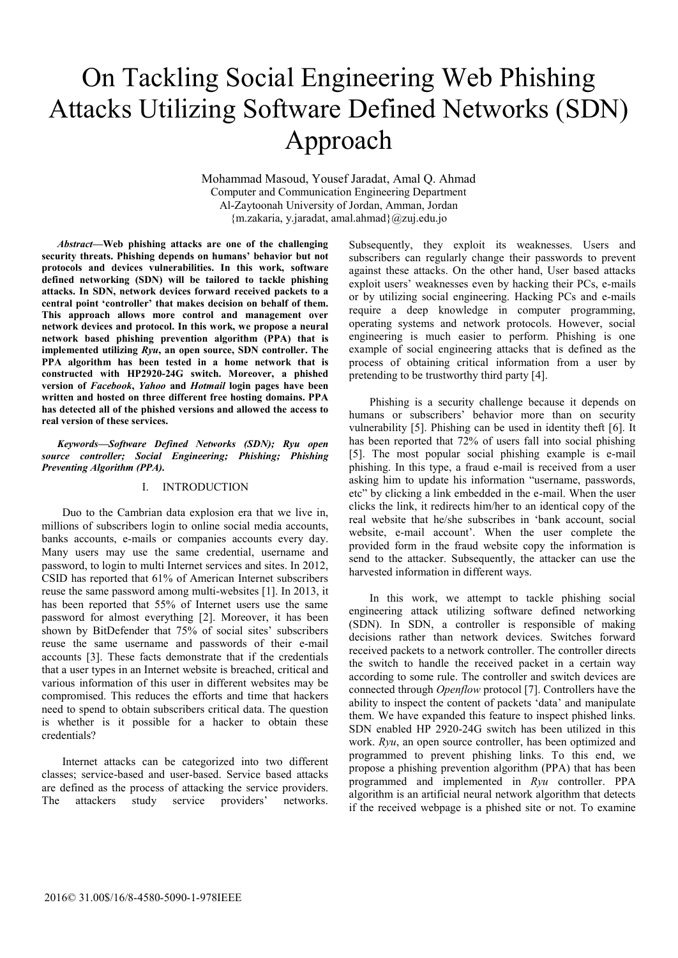# On Tackling Social Engineering Web Phishing Attacks Utilizing Software Defined Networks (SDN) Approach

Mohammad Masoud, Yousef Jaradat, Amal Q. Ahmad Computer and Communication Engineering Department Al-Zaytoonah University of Jordan, Amman, Jordan {m.zakaria, y.jaradat, amal.ahmad}@zuj.edu.jo

*Abstract***—Web phishing attacks are one of the challenging security threats. Phishing depends on humans' behavior but not protocols and devices vulnerabilities. In this work, software defined networking (SDN) will be tailored to tackle phishing attacks. In SDN, network devices forward received packets to a central point 'controller' that makes decision on behalf of them. This approach allows more control and management over network devices and protocol. In this work, we propose a neural network based phishing prevention algorithm (PPA) that is implemented utilizing** *Ryu***, an open source, SDN controller. The PPA algorithm has been tested in a home network that is constructed with HP2920-24G switch. Moreover, a phished version of** *Facebook***,** *Yahoo* **and** *Hotmail* **login pages have been written and hosted on three different free hosting domains. PPA has detected all of the phished versions and allowed the access to real version of these services.** 

*Keywords—Software Defined Networks (SDN); Ryu open source controller; Social Engineering; Phishing; Phishing Preventing Algorithm (PPA).*

# I. INTRODUCTION

Duo to the Cambrian data explosion era that we live in, millions of subscribers login to online social media accounts, banks accounts, e-mails or companies accounts every day. Many users may use the same credential, username and password, to login to multi Internet services and sites. In 2012, CSID has reported that 61% of American Internet subscribers reuse the same password among multi-websites [1]. In 2013, it has been reported that 55% of Internet users use the same password for almost everything [2]. Moreover, it has been shown by BitDefender that 75% of social sites' subscribers reuse the same username and passwords of their e-mail accounts [3]. These facts demonstrate that if the credentials that a user types in an Internet website is breached, critical and various information of this user in different websites may be compromised. This reduces the efforts and time that hackers need to spend to obtain subscribers critical data. The question is whether is it possible for a hacker to obtain these credentials?

Internet attacks can be categorized into two different classes; service-based and user-based. Service based attacks are defined as the process of attacking the service providers. The attackers study service providers' networks.

Subsequently, they exploit its weaknesses. Users and subscribers can regularly change their passwords to prevent against these attacks. On the other hand, User based attacks exploit users' weaknesses even by hacking their PCs, e-mails or by utilizing social engineering. Hacking PCs and e-mails require a deep knowledge in computer programming, operating systems and network protocols. However, social engineering is much easier to perform. Phishing is one example of social engineering attacks that is defined as the process of obtaining critical information from a user by pretending to be trustworthy third party [4].

Phishing is a security challenge because it depends on humans or subscribers' behavior more than on security vulnerability [5]. Phishing can be used in identity theft [6]. It has been reported that 72% of users fall into social phishing [5]. The most popular social phishing example is e-mail phishing. In this type, a fraud e-mail is received from a user asking him to update his information "username, passwords, etc" by clicking a link embedded in the e-mail. When the user clicks the link, it redirects him/her to an identical copy of the real website that he/she subscribes in 'bank account, social website, e-mail account'. When the user complete the provided form in the fraud website copy the information is send to the attacker. Subsequently, the attacker can use the harvested information in different ways.

In this work, we attempt to tackle phishing social engineering attack utilizing software defined networking (SDN). In SDN, a controller is responsible of making decisions rather than network devices. Switches forward received packets to a network controller. The controller directs the switch to handle the received packet in a certain way according to some rule. The controller and switch devices are connected through *Openflow* protocol [7]. Controllers have the ability to inspect the content of packets 'data' and manipulate them. We have expanded this feature to inspect phished links. SDN enabled HP 2920-24G switch has been utilized in this work. *Ryu*, an open source controller, has been optimized and programmed to prevent phishing links. To this end, we propose a phishing prevention algorithm (PPA) that has been programmed and implemented in *Ryu* controller. PPA algorithm is an artificial neural network algorithm that detects if the received webpage is a phished site or not. To examine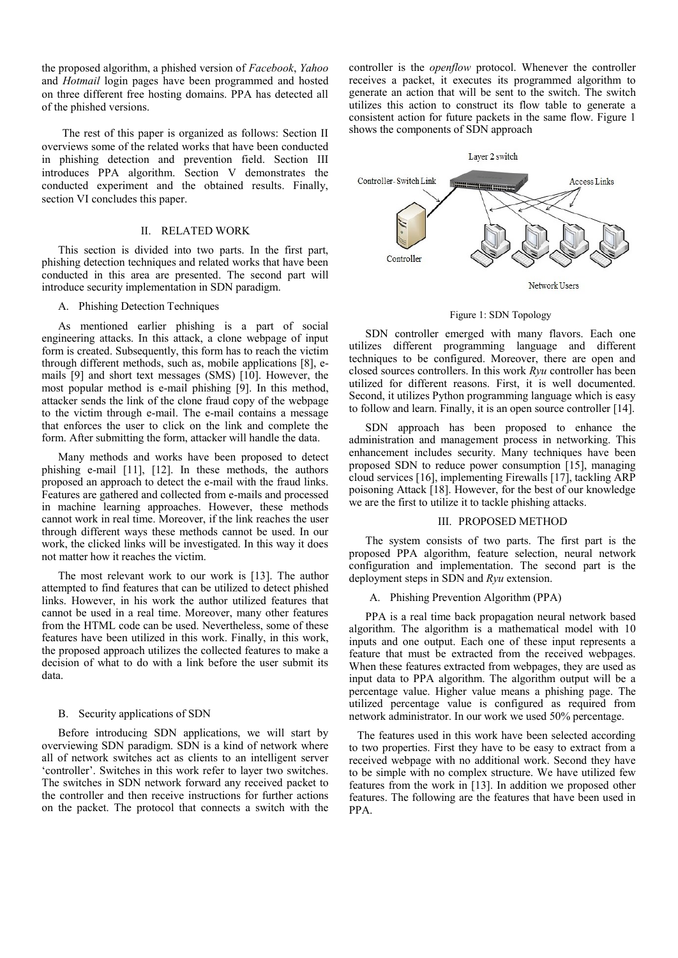the proposed algorithm, a phished version of *Facebook*, *Yahoo* and *Hotmail* login pages have been programmed and hosted on three different free hosting domains. PPA has detected all of the phished versions.

The rest of this paper is organized as follows: Section II overviews some of the related works that have been conducted in phishing detection and prevention field. Section III introduces PPA algorithm. Section V demonstrates the conducted experiment and the obtained results. Finally, section VI concludes this paper.

# II. RELATED WORK

This section is divided into two parts. In the first part, phishing detection techniques and related works that have been conducted in this area are presented. The second part will introduce security implementation in SDN paradigm.

# A. Phishing Detection Techniques

As mentioned earlier phishing is a part of social engineering attacks. In this attack, a clone webpage of input form is created. Subsequently, this form has to reach the victim through different methods, such as, mobile applications [8], emails [9] and short text messages (SMS) [10]. However, the most popular method is e-mail phishing [9]. In this method, attacker sends the link of the clone fraud copy of the webpage to the victim through e-mail. The e-mail contains a message that enforces the user to click on the link and complete the form. After submitting the form, attacker will handle the data.

Many methods and works have been proposed to detect phishing e-mail [11], [12]. In these methods, the authors proposed an approach to detect the e-mail with the fraud links. Features are gathered and collected from e-mails and processed in machine learning approaches. However, these methods cannot work in real time. Moreover, if the link reaches the user through different ways these methods cannot be used. In our work, the clicked links will be investigated. In this way it does not matter how it reaches the victim.

The most relevant work to our work is [13]. The author attempted to find features that can be utilized to detect phished links. However, in his work the author utilized features that cannot be used in a real time. Moreover, many other features from the HTML code can be used. Nevertheless, some of these features have been utilized in this work. Finally, in this work, the proposed approach utilizes the collected features to make a decision of what to do with a link before the user submit its data.

## B. Security applications of SDN

Before introducing SDN applications, we will start by overviewing SDN paradigm. SDN is a kind of network where all of network switches act as clients to an intelligent server 'controller'. Switches in this work refer to layer two switches. The switches in SDN network forward any received packet to the controller and then receive instructions for further actions on the packet. The protocol that connects a switch with the

controller is the *openflow* protocol. Whenever the controller receives a packet, it executes its programmed algorithm to generate an action that will be sent to the switch. The switch utilizes this action to construct its flow table to generate a consistent action for future packets in the same flow. Figure 1 shows the components of SDN approach



#### Figure 1: SDN Topology

SDN controller emerged with many flavors. Each one utilizes different programming language and different techniques to be configured. Moreover, there are open and closed sources controllers. In this work *Ryu* controller has been utilized for different reasons. First, it is well documented. Second, it utilizes Python programming language which is easy to follow and learn. Finally, it is an open source controller [14].

SDN approach has been proposed to enhance the administration and management process in networking. This enhancement includes security. Many techniques have been proposed SDN to reduce power consumption [15], managing cloud services [16], implementing Firewalls [17], tackling ARP poisoning Attack [18]. However, for the best of our knowledge we are the first to utilize it to tackle phishing attacks.

## III. PROPOSED METHOD

The system consists of two parts. The first part is the proposed PPA algorithm, feature selection, neural network configuration and implementation. The second part is the deployment steps in SDN and *Ryu* extension.

## A. Phishing Prevention Algorithm (PPA)

PPA is a real time back propagation neural network based algorithm. The algorithm is a mathematical model with 10 inputs and one output. Each one of these input represents a feature that must be extracted from the received webpages. When these features extracted from webpages, they are used as input data to PPA algorithm. The algorithm output will be a percentage value. Higher value means a phishing page. The utilized percentage value is configured as required from network administrator. In our work we used 50% percentage.

 The features used in this work have been selected according to two properties. First they have to be easy to extract from a received webpage with no additional work. Second they have to be simple with no complex structure. We have utilized few features from the work in [13]. In addition we proposed other features. The following are the features that have been used in PPA.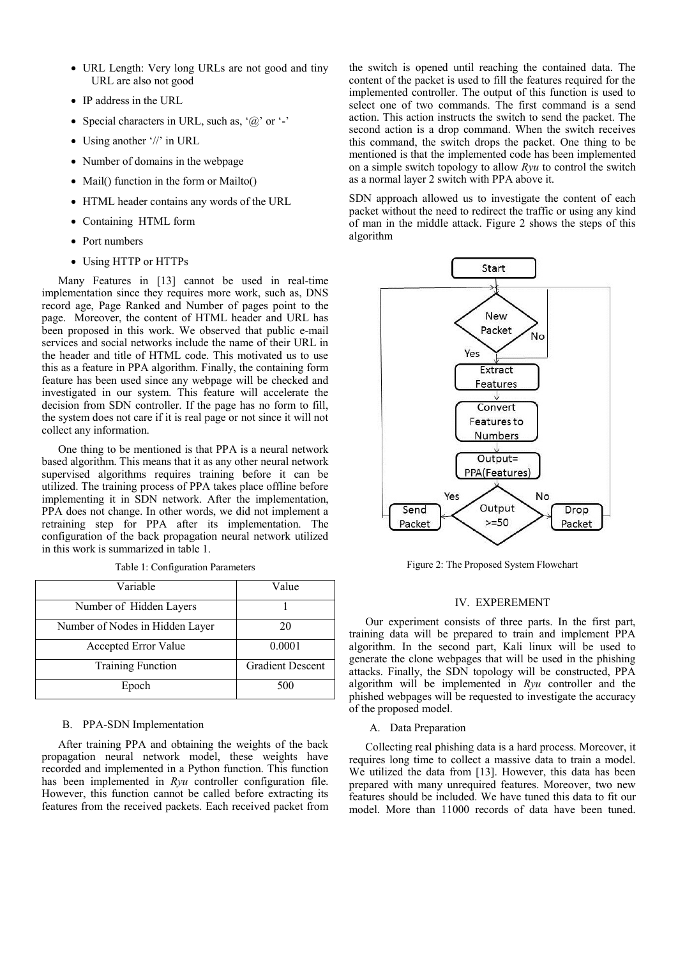- URL Length: Very long URLs are not good and tiny URL are also not good
- IP address in the URL
- Special characters in URL, such as,  $(a)$  or  $-$
- Using another '//' in URL
- Number of domains in the webpage
- Mail() function in the form or Mailto()
- HTML header contains any words of the URL
- Containing HTML form
- Port numbers
- Using HTTP or HTTPs

Many Features in [13] cannot be used in real-time implementation since they requires more work, such as, DNS record age, Page Ranked and Number of pages point to the page. Moreover, the content of HTML header and URL has been proposed in this work. We observed that public e-mail services and social networks include the name of their URL in the header and title of HTML code. This motivated us to use this as a feature in PPA algorithm. Finally, the containing form feature has been used since any webpage will be checked and investigated in our system. This feature will accelerate the decision from SDN controller. If the page has no form to fill, the system does not care if it is real page or not since it will not collect any information.

One thing to be mentioned is that PPA is a neural network based algorithm. This means that it as any other neural network supervised algorithms requires training before it can be utilized. The training process of PPA takes place offline before implementing it in SDN network. After the implementation, PPA does not change. In other words, we did not implement a retraining step for PPA after its implementation. The configuration of the back propagation neural network utilized in this work is summarized in table 1.

| Variable                        | Value                   |
|---------------------------------|-------------------------|
| Number of Hidden Layers         |                         |
| Number of Nodes in Hidden Layer | 20                      |
| Accepted Error Value            | 0.0001                  |
| <b>Training Function</b>        | <b>Gradient Descent</b> |
| Epoch                           | 500                     |

Table 1: Configuration Parameters

# B. PPA-SDN Implementation

After training PPA and obtaining the weights of the back propagation neural network model, these weights have recorded and implemented in a Python function. This function has been implemented in *Ryu* controller configuration file. However, this function cannot be called before extracting its features from the received packets. Each received packet from

the switch is opened until reaching the contained data. The content of the packet is used to fill the features required for the implemented controller. The output of this function is used to select one of two commands. The first command is a send action. This action instructs the switch to send the packet. The second action is a drop command. When the switch receives this command, the switch drops the packet. One thing to be mentioned is that the implemented code has been implemented on a simple switch topology to allow *Ryu* to control the switch as a normal layer 2 switch with PPA above it.

SDN approach allowed us to investigate the content of each packet without the need to redirect the traffic or using any kind of man in the middle attack. Figure 2 shows the steps of this algorithm



Figure 2: The Proposed System Flowchart

## IV. EXPEREMENT

Our experiment consists of three parts. In the first part, training data will be prepared to train and implement PPA algorithm. In the second part, Kali linux will be used to generate the clone webpages that will be used in the phishing attacks. Finally, the SDN topology will be constructed, PPA algorithm will be implemented in *Ryu* controller and the phished webpages will be requested to investigate the accuracy of the proposed model.

# A. Data Preparation

Collecting real phishing data is a hard process. Moreover, it requires long time to collect a massive data to train a model. We utilized the data from [13]. However, this data has been prepared with many unrequired features. Moreover, two new features should be included. We have tuned this data to fit our model. More than 11000 records of data have been tuned.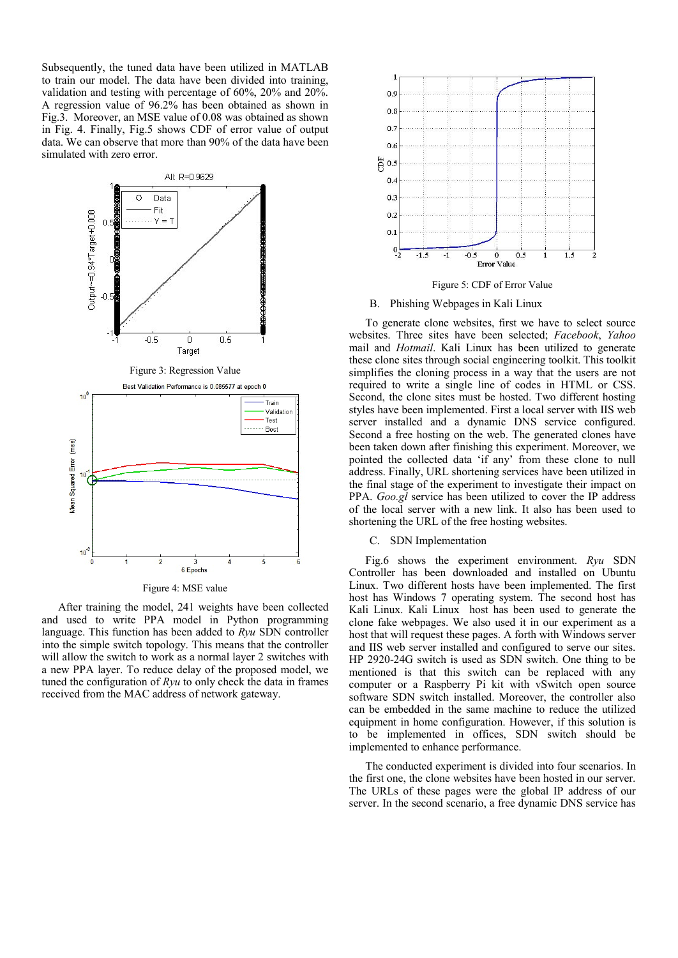Subsequently, the tuned data have been utilized in MATLAB to train our model. The data have been divided into training, validation and testing with percentage of 60%, 20% and 20%. A regression value of 96.2% has been obtained as shown in Fig.3. Moreover, an MSE value of 0.08 was obtained as shown in Fig. 4. Finally, Fig.5 shows CDF of error value of output data. We can observe that more than 90% of the data have been simulated with zero error.



Figure 4: MSE value

After training the model, 241 weights have been collected and used to write PPA model in Python programming language. This function has been added to *Ryu* SDN controller into the simple switch topology. This means that the controller will allow the switch to work as a normal layer 2 switches with a new PPA layer. To reduce delay of the proposed model, we tuned the configuration of *Ryu* to only check the data in frames received from the MAC address of network gateway.



Figure 5: CDF of Error Value

## B. Phishing Webpages in Kali Linux

To generate clone websites, first we have to select source websites. Three sites have been selected; *Facebook*, *Yahoo* mail and *Hotmail*. Kali Linux has been utilized to generate these clone sites through social engineering toolkit. This toolkit simplifies the cloning process in a way that the users are not required to write a single line of codes in HTML or CSS. Second, the clone sites must be hosted. Two different hosting styles have been implemented. First a local server with IIS web server installed and a dynamic DNS service configured. Second a free hosting on the web. The generated clones have been taken down after finishing this experiment. Moreover, we pointed the collected data 'if any' from these clone to null address. Finally, URL shortening services have been utilized in the final stage of the experiment to investigate their impact on PPA. *Goo.gl* service has been utilized to cover the IP address of the local server with a new link. It also has been used to shortening the URL of the free hosting websites.

## C. SDN Implementation

Fig.6 shows the experiment environment. *Ryu* SDN Controller has been downloaded and installed on Ubuntu Linux. Two different hosts have been implemented. The first host has Windows 7 operating system. The second host has Kali Linux. Kali Linux host has been used to generate the clone fake webpages. We also used it in our experiment as a host that will request these pages. A forth with Windows server and IIS web server installed and configured to serve our sites. HP 2920-24G switch is used as SDN switch. One thing to be mentioned is that this switch can be replaced with any computer or a Raspberry Pi kit with vSwitch open source software SDN switch installed. Moreover, the controller also can be embedded in the same machine to reduce the utilized equipment in home configuration. However, if this solution is to be implemented in offices, SDN switch should be implemented to enhance performance.

The conducted experiment is divided into four scenarios. In the first one, the clone websites have been hosted in our server. The URLs of these pages were the global IP address of our server. In the second scenario, a free dynamic DNS service has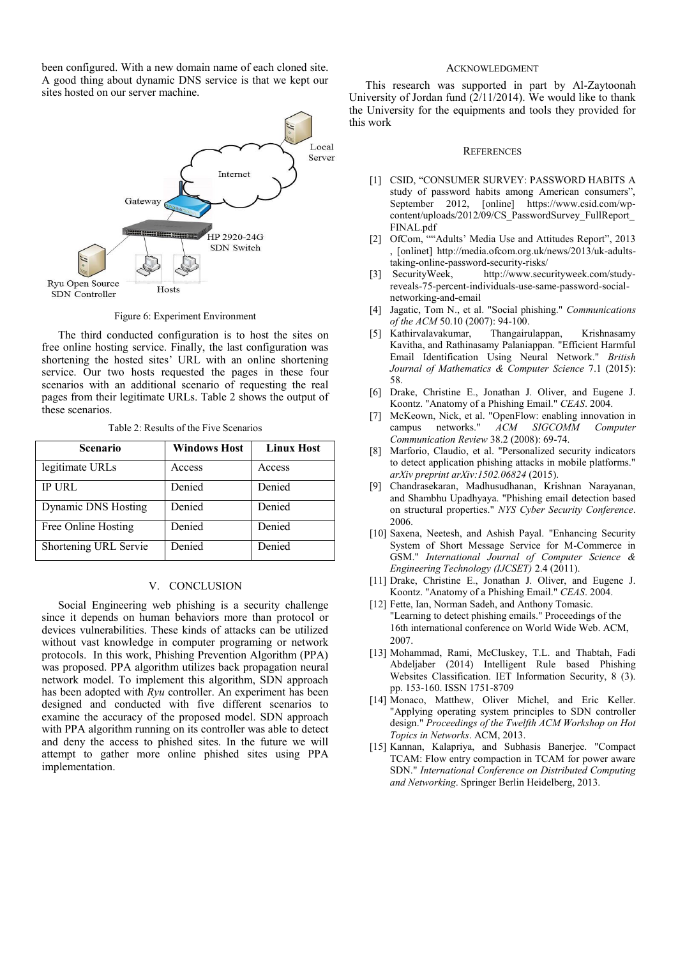been configured. With a new domain name of each cloned site. A good thing about dynamic DNS service is that we kept our sites hosted on our server machine.



Figure 6: Experiment Environment

The third conducted configuration is to host the sites on free online hosting service. Finally, the last configuration was shortening the hosted sites' URL with an online shortening service. Our two hosts requested the pages in these four scenarios with an additional scenario of requesting the real pages from their legitimate URLs. Table 2 shows the output of these scenarios.

Table 2: Results of the Five Scenarios

| <b>Scenario</b>            | <b>Windows Host</b> | <b>Linux Host</b> |
|----------------------------|---------------------|-------------------|
| legitimate URLs            | Access              | Access            |
| <b>IP URL</b>              | Denied              | Denied            |
| <b>Dynamic DNS Hosting</b> | Denied              | Denied            |
| Free Online Hosting        | Denied              | Denied            |
| Shortening URL Servie      | Denied              | Denied            |

# V. CONCLUSION

Social Engineering web phishing is a security challenge since it depends on human behaviors more than protocol or devices vulnerabilities. These kinds of attacks can be utilized without vast knowledge in computer programing or network protocols. In this work, Phishing Prevention Algorithm (PPA) was proposed. PPA algorithm utilizes back propagation neural network model. To implement this algorithm, SDN approach has been adopted with *Ryu* controller. An experiment has been designed and conducted with five different scenarios to examine the accuracy of the proposed model. SDN approach with PPA algorithm running on its controller was able to detect and deny the access to phished sites. In the future we will attempt to gather more online phished sites using PPA implementation.

## ACKNOWLEDGMENT

This research was supported in part by Al-Zaytoonah University of Jordan fund (2/11/2014). We would like to thank the University for the equipments and tools they provided for this work

#### **REFERENCES**

- [1] CSID, "CONSUMER SURVEY: PASSWORD HABITS A study of password habits among American consumers", September 2012, [online] https://www.csid.com/wpcontent/uploads/2012/09/CS\_PasswordSurvey\_FullReport\_ FINAL.pdf
- [2] OfCom, ""Adults' Media Use and Attitudes Report", 2013 [, \[onlinet\]](http://media.ofcom.org.uk/2013/04/23/uk-adults-taking-online-password-security-risks/) http://media.ofcom.org.uk/news/2013/uk-adultstaking-online-password-security-risks/
- [3] SecurityWeek, http://www.securityweek.com/studyreveals-75-percent-individuals-use-same-password-socialnetworking-and-email
- [4] Jagatic, Tom N., et al. "Social phishing." *Communications of the ACM* 50.10 (2007): 94-100.
- [5] Kathirvalavakumar, Thangairulappan, Krishnasamy Kavitha, and Rathinasamy Palaniappan. "Efficient Harmful Email Identification Using Neural Network." *British Journal of Mathematics & Computer Science* 7.1 (2015): 58.
- [6] Drake, Christine E., Jonathan J. Oliver, and Eugene J. Koontz. "Anatomy of a Phishing Email." *CEAS*. 2004.
- [7] McKeown, Nick, et al. "OpenFlow: enabling innovation in campus networks." *ACM SIGCOMM Computer Communication Review* 38.2 (2008): 69-74.
- [8] Marforio, Claudio, et al. "Personalized security indicators to detect application phishing attacks in mobile platforms." *arXiv preprint arXiv:1502.06824* (2015).
- [9] Chandrasekaran, Madhusudhanan, Krishnan Narayanan, and Shambhu Upadhyaya. "Phishing email detection based on structural properties." *NYS Cyber Security Conference*. 2006.
- [10] Saxena, Neetesh, and Ashish Payal. "Enhancing Security System of Short Message Service for M-Commerce in GSM." *International Journal of Computer Science & Engineering Technology (IJCSET)* 2.4 (2011).
- [11] Drake, Christine E., Jonathan J. Oliver, and Eugene J. Koontz. "Anatomy of a Phishing Email." *CEAS*. 2004.
- [12] Fette, Ian, Norman Sadeh, and Anthony Tomasic. "Learning to detect phishing emails." Proceedings of the 16th international conference on World Wide Web. ACM, 2007.
- [13] Mohammad, Rami, McCluskey, T.L. and Thabtah, Fadi Abdeljaber (2014) Intelligent Rule based Phishing Websites Classification. IET Information Security, 8 (3). pp. 153-160. ISSN 1751-8709
- [14] Monaco, Matthew, Oliver Michel, and Eric Keller. "Applying operating system principles to SDN controller design." *Proceedings of the Twelfth ACM Workshop on Hot Topics in Networks*. ACM, 2013.
- [15] Kannan, Kalapriya, and Subhasis Banerjee. "Compact TCAM: Flow entry compaction in TCAM for power aware SDN." *International Conference on Distributed Computing and Networking*. Springer Berlin Heidelberg, 2013.